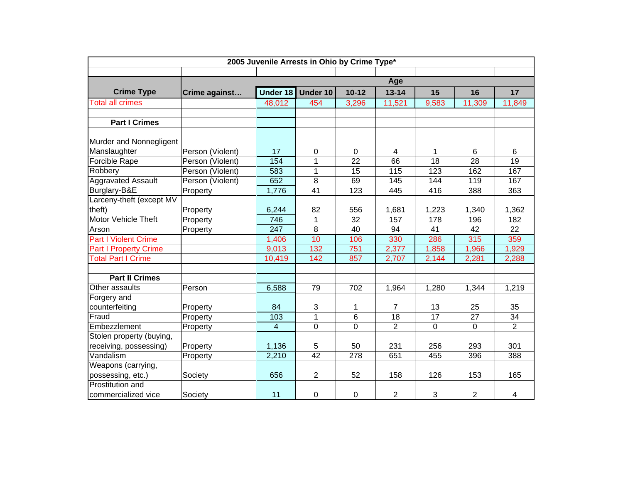| 2005 Juvenile Arrests in Ohio by Crime Type* |                  |                  |                |           |                 |             |                |                 |  |  |
|----------------------------------------------|------------------|------------------|----------------|-----------|-----------------|-------------|----------------|-----------------|--|--|
|                                              |                  |                  |                |           |                 |             |                |                 |  |  |
|                                              |                  | Age              |                |           |                 |             |                |                 |  |  |
| <b>Crime Type</b>                            | Crime against    | Under 18         | Under 10       | $10 - 12$ | $13 - 14$       | 15          | 16             | 17              |  |  |
| <b>Total all crimes</b>                      |                  | 48,012           | 454            | 3,296     | 11,521          | 9,583       | 11,309         | 11,849          |  |  |
|                                              |                  |                  |                |           |                 |             |                |                 |  |  |
| <b>Part I Crimes</b>                         |                  |                  |                |           |                 |             |                |                 |  |  |
| Murder and Nonnegligent                      |                  |                  |                |           |                 |             |                |                 |  |  |
| Manslaughter                                 |                  | 17               |                |           |                 |             |                | 6               |  |  |
|                                              | Person (Violent) | 154              | 0              | 0         | 4               | 1<br>18     | 6              |                 |  |  |
| <b>Forcible Rape</b>                         | Person (Violent) |                  | 1              | 22        | 66              |             | 28             | 19              |  |  |
| Robbery                                      | Person (Violent) | 583              | $\mathbf{1}$   | 15        | 115             | 123         | 162            | 167             |  |  |
| <b>Aggravated Assault</b>                    | Person (Violent) | 652              | 8              | 69        | 145             | 144         | 119            | 167             |  |  |
| Burglary-B&E                                 | Property         | 1,776            | 41             | 123       | 445             | 416         | 388            | 363             |  |  |
| Larceny-theft (except MV                     |                  |                  |                |           |                 |             |                |                 |  |  |
| theft)                                       | Property         | 6,244            | 82             | 556       | 1,681           | 1,223       | 1,340          | 1,362           |  |  |
| <b>Motor Vehicle Theft</b>                   | Property         | 746              | 1              | 32        | 157             | 178         | 196            | 182             |  |  |
| Arson                                        | Property         | $\overline{247}$ | 8              | 40        | 94              | 41          | 42             | 22              |  |  |
| <b>Part I Violent Crime</b>                  |                  | 1,406            | 10             | 106       | 330             | 286         | 315            | 359             |  |  |
| <b>Part I Property Crime</b>                 |                  | 9,013            | 132            | 751       | 2,377           | 1,858       | 1,966          | 1,929           |  |  |
| <b>Total Part I Crime</b>                    |                  | 10,419           | 142            | 857       | 2,707           | 2,144       | 2,281          | 2,288           |  |  |
|                                              |                  |                  |                |           |                 |             |                |                 |  |  |
| <b>Part II Crimes</b>                        |                  |                  |                |           |                 |             |                |                 |  |  |
| Other assaults                               | Person           | 6,588            | 79             | 702       | 1,964           | 1,280       | 1,344          | 1,219           |  |  |
| Forgery and                                  |                  |                  |                |           |                 |             |                |                 |  |  |
| counterfeiting                               | Property         | 84               | 3              | 1         | $\overline{7}$  | 13          | 25             | 35              |  |  |
| Fraud                                        | Property         | 103              | $\mathbf{1}$   | 6         | $\overline{18}$ | 17          | 27             | $\overline{34}$ |  |  |
| Embezzlement                                 | Property         | $\overline{4}$   | $\overline{0}$ | $\Omega$  | $\overline{2}$  | $\mathbf 0$ | $\Omega$       | $\overline{2}$  |  |  |
| Stolen property (buying,                     |                  |                  |                |           |                 |             |                |                 |  |  |
| receiving, possessing)                       | Property         | 1,136            | 5              | 50        | 231             | 256         | 293            | 301             |  |  |
| Vandalism                                    | Property         | 2,210            | 42             | 278       | 651             | 455         | 396            | 388             |  |  |
| Weapons (carrying,                           |                  |                  |                |           |                 |             |                |                 |  |  |
| possessing, etc.)                            | Society          | 656              | 2              | 52        | 158             | 126         | 153            | 165             |  |  |
| Prostitution and                             |                  |                  |                |           |                 |             |                |                 |  |  |
| commercialized vice                          | Society          | 11               | 0              | $\pmb{0}$ | $\overline{2}$  | 3           | $\overline{2}$ | 4               |  |  |